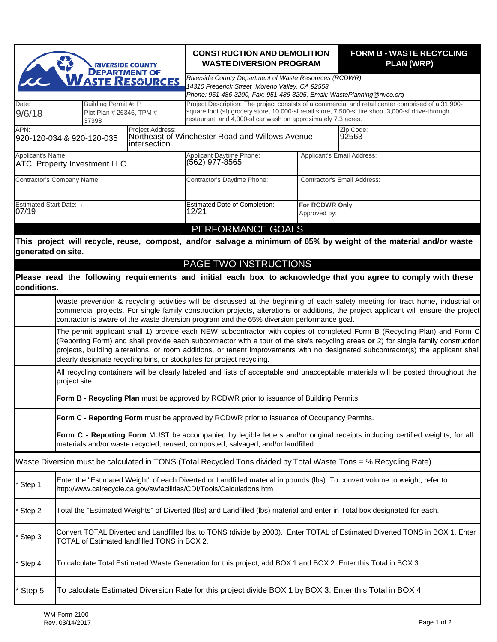| <b>RIVERSIDE COUNTY</b><br><b>DEPARTMENT OF</b><br>VASTE RESOURCES     |                                                                                                                                                                                                                                                                                                                                                                                                                                                                                 |  | <b>CONSTRUCTION AND DEMOLITION</b><br><b>WASTE DIVERSION PROGRAM</b>                                                                                                                                                                                                      |  | <b>FORM B - WASTE RECYCLING</b><br><b>PLAN (WRP)</b>                                                              |  |  |  |
|------------------------------------------------------------------------|---------------------------------------------------------------------------------------------------------------------------------------------------------------------------------------------------------------------------------------------------------------------------------------------------------------------------------------------------------------------------------------------------------------------------------------------------------------------------------|--|---------------------------------------------------------------------------------------------------------------------------------------------------------------------------------------------------------------------------------------------------------------------------|--|-------------------------------------------------------------------------------------------------------------------|--|--|--|
|                                                                        |                                                                                                                                                                                                                                                                                                                                                                                                                                                                                 |  | Riverside County Department of Waste Resources (RCDWR)<br>14310 Frederick Street Moreno Valley, CA 92553<br>Phone: 951-486-3200, Fax: 951-486-3205, Email: WastePlanning@rivco.org                                                                                        |  |                                                                                                                   |  |  |  |
| Date:<br>9/6/18                                                        | Building Permit #: P<br>Plot Plan # 26346, TPM #<br>37398                                                                                                                                                                                                                                                                                                                                                                                                                       |  | Project Description: The project consists of a commercial and retail center comprised of a 31,900-<br>square foot (sf) grocery store, 10,000-sf retail store, 7,500-sf tire shop, 3,000-sf drive-through<br>restaurant, and 4,300-sf car wash on approximately 7.3 acres. |  |                                                                                                                   |  |  |  |
| APN:<br>Project Address:<br>920-120-034 & 920-120-035<br>intersection. |                                                                                                                                                                                                                                                                                                                                                                                                                                                                                 |  | Northeast of Winchester Road and Willows Avenue                                                                                                                                                                                                                           |  | Zip Code:<br>92563                                                                                                |  |  |  |
| Applicant's Name:<br><b>ATC, Property Investment LLC</b>               |                                                                                                                                                                                                                                                                                                                                                                                                                                                                                 |  | Applicant Daytime Phone:<br>(562) 977-8565                                                                                                                                                                                                                                |  | Applicant's Email Address:                                                                                        |  |  |  |
| Contractor's Company Name                                              |                                                                                                                                                                                                                                                                                                                                                                                                                                                                                 |  | Contractor's Daytime Phone:                                                                                                                                                                                                                                               |  | Contractor's Email Address:                                                                                       |  |  |  |
| Estimated Start Date: \<br>07/19                                       |                                                                                                                                                                                                                                                                                                                                                                                                                                                                                 |  | <b>Estimated Date of Completion:</b><br>12/21                                                                                                                                                                                                                             |  | For RCDWR Only<br>Approved by:                                                                                    |  |  |  |
|                                                                        |                                                                                                                                                                                                                                                                                                                                                                                                                                                                                 |  | PERFORMANCE GOALS                                                                                                                                                                                                                                                         |  |                                                                                                                   |  |  |  |
| generated on site.                                                     |                                                                                                                                                                                                                                                                                                                                                                                                                                                                                 |  |                                                                                                                                                                                                                                                                           |  | This project will recycle, reuse, compost, and/or salvage a minimum of 65% by weight of the material and/or waste |  |  |  |
|                                                                        |                                                                                                                                                                                                                                                                                                                                                                                                                                                                                 |  | PAGE TWO INSTRUCTIONS                                                                                                                                                                                                                                                     |  |                                                                                                                   |  |  |  |
| conditions.                                                            |                                                                                                                                                                                                                                                                                                                                                                                                                                                                                 |  |                                                                                                                                                                                                                                                                           |  | Please read the following requirements and initial each box to acknowledge that you agree to comply with these    |  |  |  |
|                                                                        | Waste prevention & recycling activities will be discussed at the beginning of each safety meeting for tract home, industrial or<br>commercial projects. For single family construction projects, alterations or additions, the project applicant will ensure the project<br>contractor is aware of the waste diversion program and the 65% diversion performance goal.                                                                                                          |  |                                                                                                                                                                                                                                                                           |  |                                                                                                                   |  |  |  |
|                                                                        | The permit applicant shall 1) provide each NEW subcontractor with copies of completed Form B (Recycling Plan) and Form C<br>(Reporting Form) and shall provide each subcontractor with a tour of the site's recycling areas or 2) for single family construction<br>projects, building alterations, or room additions, or tenent improvements with no designated subcontractor(s) the applicant shall<br>clearly designate recycling bins, or stockpiles for project recycling. |  |                                                                                                                                                                                                                                                                           |  |                                                                                                                   |  |  |  |
|                                                                        | All recycling containers will be clearly labeled and lists of acceptable and unacceptable materials will be posted throughout the<br>project site.                                                                                                                                                                                                                                                                                                                              |  |                                                                                                                                                                                                                                                                           |  |                                                                                                                   |  |  |  |
|                                                                        |                                                                                                                                                                                                                                                                                                                                                                                                                                                                                 |  | Form B - Recycling Plan must be approved by RCDWR prior to issuance of Building Permits.                                                                                                                                                                                  |  |                                                                                                                   |  |  |  |
|                                                                        | Form C - Reporting Form must be approved by RCDWR prior to issuance of Occupancy Permits.                                                                                                                                                                                                                                                                                                                                                                                       |  |                                                                                                                                                                                                                                                                           |  |                                                                                                                   |  |  |  |
|                                                                        | Form C - Reporting Form MUST be accompanied by legible letters and/or original receipts including certified weights, for all<br>materials and/or waste recycled, reused, composted, salvaged, and/or landfilled.                                                                                                                                                                                                                                                                |  |                                                                                                                                                                                                                                                                           |  |                                                                                                                   |  |  |  |
|                                                                        |                                                                                                                                                                                                                                                                                                                                                                                                                                                                                 |  |                                                                                                                                                                                                                                                                           |  | Waste Diversion must be calculated in TONS (Total Recycled Tons divided by Total Waste Tons = % Recycling Rate)   |  |  |  |
| Step 1                                                                 | Enter the "Estimated Weight" of each Diverted or Landfilled material in pounds (lbs). To convert volume to weight, refer to:<br>http://www.calrecycle.ca.gov/swfacilities/CDI/Tools/Calculations.htm                                                                                                                                                                                                                                                                            |  |                                                                                                                                                                                                                                                                           |  |                                                                                                                   |  |  |  |
| Step 2                                                                 | Total the "Estimated Weights" of Diverted (Ibs) and Landfilled (Ibs) material and enter in Total box designated for each.                                                                                                                                                                                                                                                                                                                                                       |  |                                                                                                                                                                                                                                                                           |  |                                                                                                                   |  |  |  |
| Step 3                                                                 | Convert TOTAL Diverted and Landfilled Ibs. to TONS (divide by 2000). Enter TOTAL of Estimated Diverted TONS in BOX 1. Enter<br>TOTAL of Estimated landfilled TONS in BOX 2.                                                                                                                                                                                                                                                                                                     |  |                                                                                                                                                                                                                                                                           |  |                                                                                                                   |  |  |  |
| Step 4                                                                 | To calculate Total Estimated Waste Generation for this project, add BOX 1 and BOX 2. Enter this Total in BOX 3.                                                                                                                                                                                                                                                                                                                                                                 |  |                                                                                                                                                                                                                                                                           |  |                                                                                                                   |  |  |  |
| Step 5                                                                 | To calculate Estimated Diversion Rate for this project divide BOX 1 by BOX 3. Enter this Total in BOX 4.                                                                                                                                                                                                                                                                                                                                                                        |  |                                                                                                                                                                                                                                                                           |  |                                                                                                                   |  |  |  |